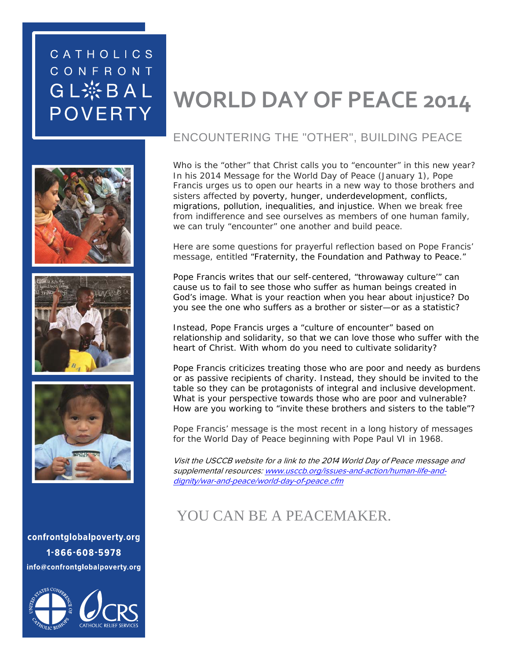## CATHOLICS CONFRONT GL※BAL **POVERTY**







confrontglobalpoverty.org 1-866-608-5978 info@confrontglobalpoverty.org



# **WORLD DAY OF PEACE 2014**

#### ENCOUNTERING THE "OTHER", BUILDING PEACE

Who is the "other" that Christ calls you to "encounter" in this new year? In his 2014 Message for the World Day of Peace (January 1), Pope Francis urges us to open our hearts in a new way to those brothers and sisters affected by poverty, hunger, underdevelopment, conflicts, migrations, pollution, inequalities, and injustice. When we break free from indifference and see ourselves as members of one human family, we can truly "encounter" one another and build peace.

Here are some questions for prayerful reflection based on Pope Francis' message, entitled "Fraternity, the Foundation and Pathway to Peace."

Pope Francis writes that our self-centered, "throwaway culture'" can cause us to fail to see those who suffer as human beings created in God's image. *What is your reaction when you hear about injustice? Do you see the one who suffers as a brother or sister—or as a statistic?* 

Instead, Pope Francis urges a "culture of encounter" based on relationship and solidarity, so that we can love those who suffer with the heart of Christ. *With whom do you need to cultivate solidarity?* 

Pope Francis criticizes treating those who are poor and needy as burdens or as passive recipients of charity. Instead, they should be invited to the table so they can be protagonists of integral and inclusive development. *What is your perspective towards those who are poor and vulnerable? How are you working to "invite these brothers and sisters to the table"?*

Pope Francis' message is the most recent in a long history of messages for the World Day of Peace beginning with Pope Paul VI in 1968.

Visit the USCCB website for a link to the 2014 World Day of Peace message and supplemental resources: www.usccb.org/issues-and-action/human-life-anddignity/war-and-peace/world-day-of-peace.cfm

#### YOU CAN BE A PEACEMAKER.